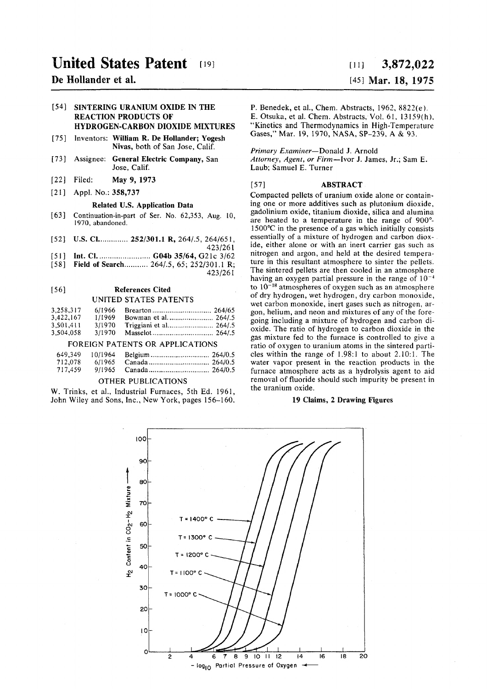# **United States Patent** (19)

## **De Hollander et al.**

### **[54] SINTERING URANIUM OXIDE IN THE REACTION PRODUCTS OF HYDROGEN-CARBON DIOXIDE MIXTURES**

- **[75]** Inventors: **William R. De Hollander; Yogesh Nivas,** both of San Jose, Calif.
- [73] Assignee: **General Electric Company,** San Jose, Calif.
- [22] Filed: **May** 9, 1973
- [21] Appl. No.: 358,737

### **Related U.S. Application Data**

- [63] Continuation-in-part of Ser. No. 62,353, Aug. 10, 1970, abandoned.
- [52] **U.S. Cl.** ... 252/301.1 **R**, 264/.5, 264/651,
- **423/261**  [51] **Int.** CI **G04b** 35 **/64 ,** G21 c **3/62**
- 
- [58] Field of Search........... 264/.5, 65; 252/301.1 R; **423/261**

### **[56] References Cited**  UNITED STATES PATENTS

| 3,258,317 | 6/1966 |  |
|-----------|--------|--|
| 3,422,167 | 1/1969 |  |
| 3,501,411 | 3/1970 |  |

## 3,504,058 3/1970 Masselot 264/.S

## FOREIGN PATENTS OR APPLICATIONS

| 649.349 | 10/1964 |  |
|---------|---------|--|
| 712,078 | 6/1965  |  |
| 717,459 | 9/1965  |  |

### OTHER PUBLICATIONS

W. Trinks, et al., Industrial Furnaces, 5th Ed. 1961, John Wiley and Sons, Inc., New York, pages 156-160.

## **[it] 3,872,02 2**  [45] **Mar. 18, 1975**

P. Benedek, et al., Chem. Abstracts, 1962, 8822(e). E. Otsuka, et al. Chem. Abstracts, Vol. 61, 13159(h), "Kinetics and Thermodynamics in High-Temperature Gases," Mar. 19, 1970, NASA, SP-239, A & 93.

### *Primary Examiner*—Donald J. Arnold

*Attorney, Agent, or Firm—*Ivor J. James, Jr.; Sam E. Laub; Samuel E. Turner

### [57] ABSTRACT

Compacted pellets of uranium oxide alone or containing one or more additives such as plutonium dioxide, gadolinium oxide, titanium dioxide, silica and alumina are heated to a temperature in the range of  $900^{\circ}$ -1500°C in the presence of a gas which initially consists essentially of a mixture of hydrogen and carbon dioxide, either alone or with an inert carrier gas such as nitrogen and argon, and held at the desired temperature in this resultant atmosphere to sinter the pellets. The sintered pellets are then cooled in an atmosphere having an oxygen partial pressure in the range of  $10^{-4}$ to  $10^{-18}$  atmospheres of oxygen such as an atmosphere of dry hydrogen, wet hydrogen, dry carbon monoxide, wet carbon monoxide, inert gases such as nitrogen, argon, helium, and neon and mixtures of any of the foregoing including a mixture of hydrogen and carbon dioxide. The ratio of hydrogen to carbon dioxide in the gas mixture fed to the furnace is controlled to give a ratio of oxygen to uranium atoms in the sintered particles within the range of  $1.98:1$  to about  $2.10:1$ . The water vapor present in the reaction products in the furnace atmosphere acts as a hydrolysis agent to aid removal of fluoride should such impurity be present in the uranium oxide.

### **19 Claims, 2 Drawing Figures**

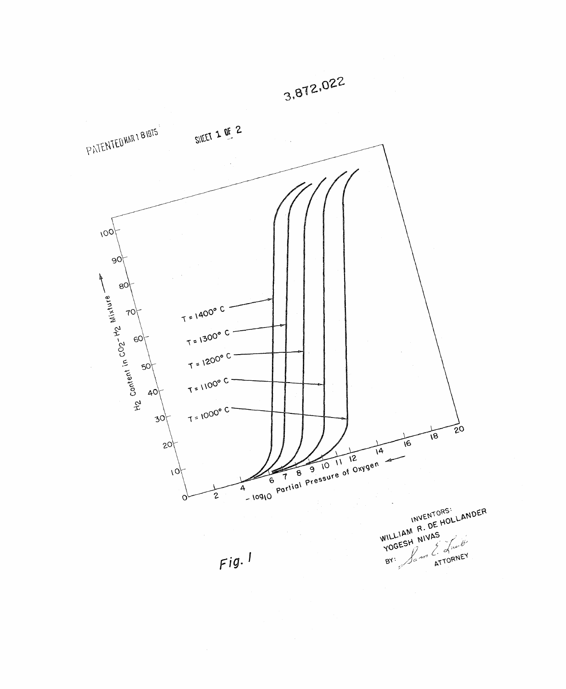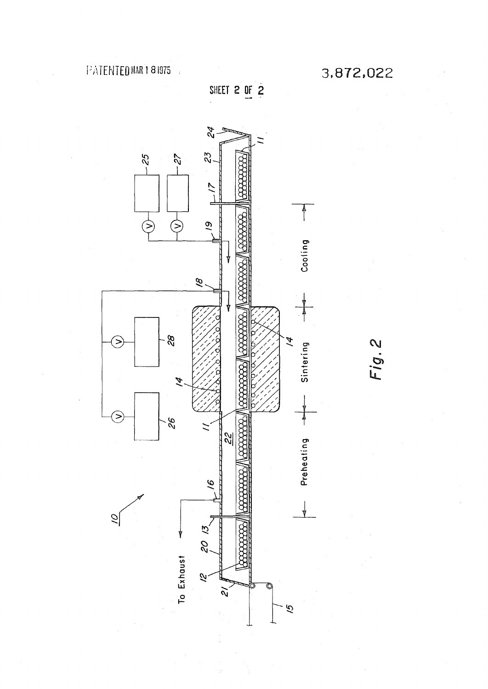**SHEET 2 OF 2** 



Fig.2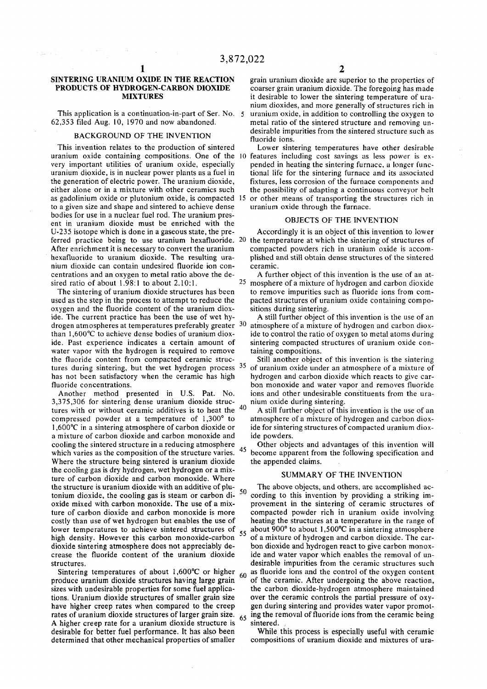### BACKGROUND OF THE INVENTION

This invention relates to the production of sintered Lower sintering temperatures have other desirable to a given size and shape and sintered to achieve dense uranium oxide through the furnace, bodies for use in a nuclear fuel rod. The uranium pres-<br>
ont in uranium dioxide must be enrighed with the **COBJECTS OF THE INVENTION** ent in uranium dioxide must be enriched with the UBJECTS OF THE INVENTION<br>U-235 isotope which is done in a gaseous state, the pre-<br>Accordingly it is an object of this invention to lower U-235 isotope which is done in a gaseous state, the prenium dioxide can contain undesired fluoride ion con- ceramic. centrations and an oxygen to metal ratio above the de- A further object of this invention is the use of an atsired ratio of about 1.98:1 to about 2.10:1.<br>The sintering of uranium dioxide structures has been

used as the step in the process to attempt to reduce the pacted structures of uranium oxide containing compo-<br>oxygen and the fluoride content of the uranium diox-<br>sitions during sintering. oxygen and the fluoride content of the uranium diox-<br>ide. The current practice has been the use of wet hy-<br>A still further object of this invention is the use of an ide. The current practice has been the use of wet hywater vapor with the hydrogen is required to remove taining compositions. the fluoride content from compacted ceramic struc-<br>tures during sintering but the wet hydrogen process  $35$  of uranium oxide under an atmosphere of a mixture of

 $3,375,306$  for sintering dense uranium dioxide structures with or without ceramic additives is to heat the  $40$  A still further object of this invention is the use of an compressed powder at a temperature of 1,300° to atmosphere of a mixture of hydrogen and carbon dioxa mixture of carbon dioxide and carbon monoxide and ide powders. cooling the sintered structure in a reducing atmosphere Cother objects and advantages of this invention will Where the structure being sintered is uranium dioxide the appended claims. the cooling gas is dry hydrogen, wet hydrogen or a mixture of carbon dioxide and carbon monoxide. Where the structure is uranium dioxide with an additive of plu-<br>tanium dioxide, the acading are in steam on early and  $\frac{1}{2}$  acading to this invention by providing a striking in high density. However this carbon monoxide-carbon

sizes with undesirable properties for some fuel applications. Uranium dioxide structures of smaller grain size over the ceramic controls the partial pressure of oxyhave higher creep rates when compared to the creep gen during sintering and provides water vapor promotrates of uranium dioxide structures of larger grain size.  $65$  ing the removal of fluoride ions from the ceramic being A higher creep rate for a uranium dioxide structure is sintered. A higher creep rate for a uranium dioxide structure is desirable for better fuel performance. It has also been While this process is especially useful with ceramic<br>determined that other mechanical properties of smaller compositions of uranium dioxide and mixtures of uradetermined that other mechanical properties of smaller

SINTERING URANIUM OXIDE IN THE REACTION grain uranium dioxide are superior to the properties of PRODUCTS OF HYDROGEN-CARBON DIOXIDE coarser grain uranium dioxide. The foregoing has made **PROGEN-CARBON DIOXIDE** coarser grain uranium dioxide. The foregoing has made<br>**MIXTURES** it desirable to lower the sintering temperature of urait desirable to lower the sintering temperature of uranium dioxides, and more generally of structures rich in This application is a continuation-in-part of Ser. No. 5 uranium oxide, in addition to controlling the oxygen to 62,353 filed Aug. 10, 1970 and now abandoned. The metal ratio of the sintered structure and removing unmetal ratio of the sintered structure and removing unfluoride ions. maoie impurities from the sintered structure such as

uranium oxide containing compositions. One of the 10 features including cost savings as less power is ex-<br>very important utilities of uranium oxide, especially pended in heating the sintering furnace, a longer funcvery important utilities of uranium oxide, especially pended in heating the sintering furnace, a longer func-<br>uranium dioxide, is in nuclear power plants as a fuel in tional life for the sintering furnace and its associate tional life for the sintering furnace and its associated the generation of electric power. The uranium dioxide, fixtures, less corrosion of the furnace components and either alone or in a mixture with other ceramics such the possibility of adapting a continuous conveyor belt as gadolinium oxide or plutonium oxide, is compacted 15 or other means of transporting the structures rich in

ferred practice being to use uranium hexafluoride. 20 the temperature at which the sintering of structures of After enrichment it is necessary to convert the uranium compacted powders rich in uranium oxide is accomcompacted powders rich in uranium oxide is accomhexafluoride to uranium dioxide. The resulting ura- plished and still obtain dense structures of the sintered

> $25$  mosphere of a mixture of hydrogen and carbon dioxide to remove impurities such as fluoride ions from com-

drogen atmospheres at temperatures preferably greater <sup>30</sup> atmosphere of a mixture of hydrogen and carbon dioxthan 1,600°C to achieve dense bodies of uranium diox- ide to control the ratio of oxygen to metal atoms during ide. Past experience indicates a certain amount of sintering compacted structures of uranium oxide con-

tures during sintering, but the wet hydrogen process  $35$  of uranium oxide under an atmosphere of a mixture of has not been satisfactory when the ceramic has high hydrogen and carbon dioxide which reacts to give carhas not been satisfactory when the ceramic has high hydrogen and carbon dioxide which reacts to give car-<br>fluoride concentrations. bon monoxide and water vapor and removes fluoride bon monoxide and water vapor and removes fluoride Another method presented in U.S. Pat. No. ions and other undesirable constituents from the ura-<br>375,306 for sintering dense uranium dioxide struc-<br>mium oxide during sintering.

compressed powder at a temperature of  $1,300^{\circ}$  to atmosphere of a mixture of hydrogen and carbon diox-<br>1,600°C in a sintering atmosphere of carbon dioxide or ide for sintering structures of compacted uranium dioxide for sintering structures of compacted uranium diox-

which varies as the composition of the structure varies.  $43$  become apparent from the following specification and

### SUMMARY OF THE INVENTION

tonium dioxide, the cooling gas is steam or carbon di- $\frac{30}{10}$  cording to this invention by providing a striking im-<br>oxide mixed with carbon monoxide. The use of a mix-<br>provement in the sintering of ceramic structures provement in the sintering of ceramic structures of ture of carbon dioxide and carbon monoxide is more compacted powder rich in uranium oxide involving costly than use of wet hydrogen but enables the use of heating the structures at a temperature in the range of lower temperatures to achieve sintered structures of  $\epsilon$  about 900° to about 1,500°C in a sintering atmospher lower temperatures to achieve sintered structures of  $55$  about  $900^{\circ}$  to about 1,500°C in a sintering atmosphere high density. However this carbon monoxide-carbon  $55$  of a mixture of hydrogen and carbon dioxide. The dioxide sintering atmosphere does not appreciably de-<br>crease the fluoride content of the uranium dioxide ide and water vapor which enables the removal of unide and water vapor which enables the removal of unstructures. desirable impurities from the ceramic structures such Sintering temperatures of about 1,600°C or higher  $60$  as fluoride ions and the control of the oxygen content produce uranium dioxide structures having large grain of the ceramic. After undergoing the above reaction, of the ceramic. After undergoing the above reaction, the carbon dioxide-hydrogen atmosphere maintained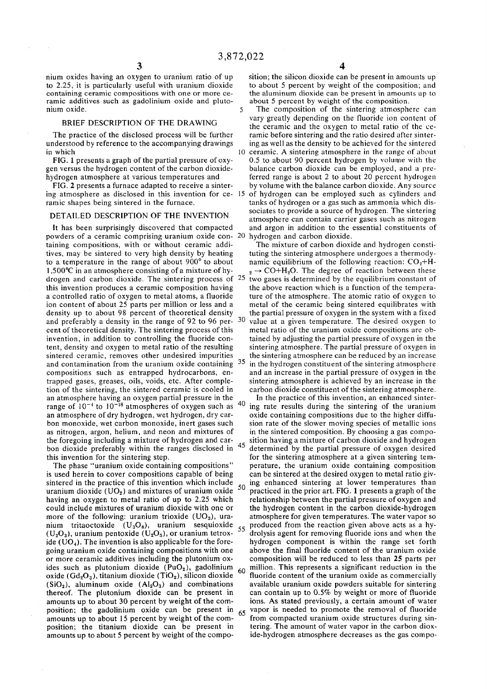nium oxides having an oxygen to uranium ratio of up to 2.25, it is particularly useful with uranium dioxide containing ceramic compositions with one or more ceramic additives such as gadolinium oxide and plutonium oxide. 5

### BRIEF DESCRIPTION OF THE DRAWING

The practice of the disclosed process will be further understood by reference to the accompanying drawings in which 10

FIG. 1 presents a graph of the partial pressure of oxygen versus the hydrogen content of the carbon dioxidehydrogen atmosphere at various temperatures and

FIG. 2 presents a furnace adapted to receive a sintering atmosphere as disclosed in this invention for ce- 15 ramic shapes being sintered in the furnace.

### DETAILED DESCRIPTION OF THE INVENTION

It has been surprisingly discovered that compacted powders of a ceramic comprising uranium oxide con- 20 taining compositions, with or without ceramic additives, may be sintered to very high density by heating to a temperature in the range of about  $900^{\circ}$  to about  $1,500^{\circ}$ C in an atmosphere consisting of a mixture of hydrogen and carbon dioxide. The sintering process of  $25$  two gases is determined by the equilibrium constant of this invention produces a ceramic composition having a controlled ratio of oxygen to metal atoms, a fluoride ion content of about 25 parts per million or less and a density up to about 98 percent of theoretical density and preferably a density in the range of 92 to 96 percent of theoretical density. The sintering process of this invention, in addition to controlling the fluoride content, density and oxygen to metal ratio of the resulting sintered ceramic, removes other undesired impurities and contamination from the uranium oxide containing ^5 compositions such as entrapped hydrocarbons, entrapped gases, greases, oils, voids, etc. After completion of the sintering, the sintered ceramic is cooled in an atmosphere having an oxygen partial pressure in the range of  $10^{-4}$  to  $10^{-18}$  atmospheres of oxygen such as an atmosphere of dry hydrogen, wet hydrogen, dry carbon monoxide, wet carbon monoxide, inert gases such as nitrogen, argon, helium, and neon and mixtures of the foregoing including a mixture of hydrogen and carbon dioxide preferably within the ranges disclosed in this invention for the sintering step.

The phase "uranium oxide containing compositions" is used herein to cover compositions capable of being sintered in the practice of this invention which include 50 uranium dioxide  $(UO<sub>2</sub>)$  and mixtures of uranium oxide having an oxygen to metal ratio of up to 2.25 which could include mixtures of uranium dioxide with one or more of the following: uranium trioxide  $(UO<sub>3</sub>)$ , uranium tritaoctoxide (U<sub>3</sub>O<sub>8</sub>), uranium sesquioxide <sub>55</sub>  $(U_2O_3)$ , uranium pentoxide  $(U_2O_5)$ , or uranium tetroxide ( $UO<sub>4</sub>$ ). The invention is also applicable for the foregoing uranium oxide containing compositions with one or more ceramic additives including the plutonium oxides such as plutonium dioxide  $(PuO<sub>2</sub>)$ , gadolinium 60 oxide (Gd<sub>2</sub>O<sub>3</sub>), titanium dioxide (TiO<sub>2</sub>), silicon dioxide  $(SiO<sub>2</sub>)$ , aluminum oxide  $(Al<sub>2</sub>O<sub>3</sub>)$  and combinations thereof. The plutonium dioxide can be present in amounts up to about 30 percent by weight of the composition; the gadolinium oxide can be present in amounts up to about 15 percent by weight of the composition; the titanium dioxide can be present in amounts up to about 5 percent by weight of the compo-

sition; the silicon dioxide can be present in amounts up to about 5 percent by weight of the composition; and the aluminum dioxide can be present in amounts up to about 5 percent by weight of the composition.

The composition of the sintering atmosphere can vary greatly depending on the fluoride ion content of the ceramic and the oxygen to metal ratio of the ceramic before sintering and the ratio desired after sintering as well as the density to be achieved for the sintered 10 ceramic. A sintering atmosphere in the range of about 0.5 to about 90 percent hydrogen by volume with the balance carbon dioxide can be employed, and a preferred range is about 2 to about 20 percent hydrogen by volume with the balance carbon dioxide. Any source of hydrogen can be employed such as cylinders and tanks of hydrogen or a gas such as ammonia which dissociates to provide a source of hydrogen. The sintering atmosphere can contain carrier gases such as nitrogen and argon in addition to the essential constituents of

hydrogen and carbon dioxide. The mixture of carbon dioxide and hydrogen constituting the sintering atmosphere undergoes a thermodynamic equilibrium of the following reaction:  $CO<sub>2</sub>+H$  $_2 \rightarrow$  CO+H<sub>2</sub>O. The degree of reaction between these the above reaction which is a function of the temperature of the atmosphere. The atomic ratio of oxygen to metal of the ceramic being sintered equilibrates with the partial pressure of oxygen in the system with a fixed value at a given temperature. The desired oxygen to metal ratio of the uranium oxide compositions are obtained by adjusting the partial pressure of oxygen in the sintering atmosphere. The partial pressure of oxygen in the sintering atmosphere can be reduced by an increase in the hydrogen constituent of the sintering atmosphere and an increase in the partial pressure of oxygen in the sintering atmosphere is achieved by an increase in the carbon dioxide constituent of the sintering atmosphere .

In the practice of this invention, an enhanced sinter-40 ing rate results during the sintering of the uranium oxide containing compositions due to the higher diffusion rate of the slower moving species of metallic ions in the sintered composition. By choosing a gas composition having a mixture of carbon dioxide and hydrogen 45 determined by the partial pressure of oxygen desired for the sintering atmosphere at a given sintering temperature, the uranium oxide containing composition can be sintered at the desired oxygen to metal ratio giving enhanced sintering at lower temperatures than practiced in the prior art. FIG. 1 presents a graph of the relationship between the partial pressure of oxygen and the hydrogen content in the carbon dioxide-hydrogen atmosphere for given temperatures. The water vapor so produced from the reaction given above acts as a hydrolysis agent for removing fluoride ions and when the hydrogen component is within the range set forth above the final fluoride content of the uranium oxide composition will be reduced to less than 25 parts per million. This represents a significant reduction in the fluoride content of the uranium oxide as commercially available uranium oxide powders suitable for sintering  $\alpha$  can contain up to 0.5% by weight or more of fluoride can contain up to 0.5% by weight of more of nuoritie ions. As stated previously, a certain amount of water vapor is needed to promote the removal of fluoride from compacted uranium oxide structures during sintering. The amount of water vapor in the carbon diox-<br>ide-hydrogen atmosphere decreases as the gas compo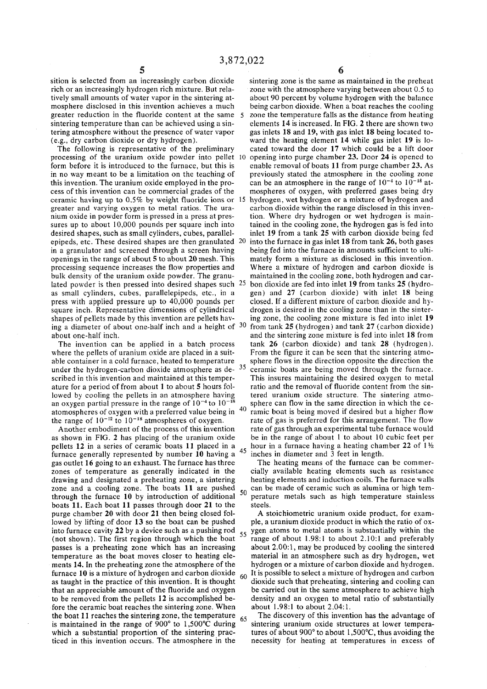sition is selected from an increasingly carbon dioxide rich or an increasingly hydrogen rich mixture. But relatively small amounts of water vapor in the sintering atmosphere disclosed in this invention achieves a much greater reduction in the fluoride content at the same sintering temperature than can be achieved using a sintering atmosphere without the presence of water vapor (e.g., dry carbon dioxide or dry hydrogen).

The following is representative of the preliminary processing of the uranium oxide powder into pellet form before it is introduced to the furnace, but this is in no way meant to be a limitation on the teaching of this invention. The uranium oxide employed in the process of this invention can be commercial grades of the ceramic having up to 0.5% by weight fluoride ions or greater and varying oxygen to metal ratios. The uranium oxide in powder form is pressed in a press at pressures up to about 10,000 pounds per square inch into desired shapes, such as small cylinders, cubes, parallelepipeds, etc. These desired shapes are then granulated in a granulator and screened through a screen having openings in the range of about 5 to about 20 mesh. This processing sequence increases the flow properties and bulk density of the uranium oxide powder. The granulated powder is then pressed into desired shapes such 25 as small cylinders, cubes, parallelepipeds, etc., in a press with applied pressure up to 40,000 pounds per square inch. Representative dimensions of cylindrical shapes of pellets made by this invention are pellets having a diameter of about one-half inch and a height of 30 about one-half inch.

The invention can be applied in a batch process where the pellets of uranium oxide are placed in a suitable container in a cold furnace, heated to temperature under the hydrogen-carbon dioxide atmosphere as de- $35$ scribed in this invention and maintained at this temperature for a period of from about 1 to about 5 hours followed by cooling the pellets in an atmosphere having an oxygen partial pressure in the range of  $10^{-4}$  to  $10^{-18}$ 40 atomospheres of oxygen with a preferred value being in the range of  $10^{-12}$  to  $10^{-18}$  atmospheres of oxygen.

Another embodiment of the process of this invention as shown in FIG. 2 has placing of the uranium oxide pellets 12 in a series of ceramic boats 11 placed in a 45 furnace generally represented by number 10 having a gas outlet 16 going to an exhaust. The furnace has three zones of temperature as generally indicated in the drawing and designated a preheating zone, a sintering zone and a cooling zone. The boats 11 are pushed 50 through the furnace 10 by introduction of additional boats 11. Each boat 11 passes through door 21 to the purge chamber 20 with door 21 then being closed followed by lifting of door 13 so the boat can be pushed into furnace cavity 22 by a device such as a pushing rod (not shown). The first region through which the boat passes is a preheating zone which has an increasing temperature as the boat moves closer to heating elements 14. In the preheating zone the atmosphere of the furnace 10 is a mixture of hydrogen and carbon dioxide as taught in the practice of this invention. It is thought that an appreciable amount of the fluoride and oxygen to be removed from the pellets 12 is accomplished before the ceramic boat reaches the sintering zone. When the boat 11 reaches the sintering zone, the temperature is maintained in the range of  $900^{\circ}$  to 1,500 $^{\circ}$ C during which a substantial proportion of the sintering practiced in this invention occurs. The atmosphere in the

sintering zone is the same as maintained in the preheat zone with the atmosphere varying between about 0.5 to about 90 percent by volume hydrogen with the balance being carbon dioxide. When a boat reaches the cooling zone the temperature falls as the distance from heating elements 14 is increased. In FIG. 2 there are shown two gas inlets 18 and 19, with gas inlet 18 being located toward the heating element 14 while gas inlet 19 is located toward the door 17 which could be a lift door opening into purge chamber 23. Door 24 is opened to enable removal of boats 11 from purge chamber 23. As previously stated the atmosphere in the cooling zone can be an atmosphere in the range of  $10^{-4}$  to  $10^{-18}$  atmospheres of oxygen, with preferred gases being dry hydrogen, wet hydrogen or a mixture of hydrogen and carbon dioxide within the range disclosed in this invention. Where dry hydrogen or wet hydrogen is maintained in the cooling zone, the hydrogen gas is fed into inlet 19 from a tank 25 with carbon dioxide being fed into the furnace in gas inlet 18 from tank 26, both gases being fed into the furnace in amounts sufficient to ultimately form a mixture as disclosed in this invention. Where a mixture of hydrogen and carbon dioxide is maintained in the cooling zone, both hydrogen and car-25 bon dioxide are fed into inlet 19 from tanks 25 (hydrogen) and 27 (carbon dioxide) with inlet 18 being closed. If a different mixture of carbon dioxide and hydrogen is desired in the cooling zone than in the sintering zone, the cooling zone mixture is fed into inlet 19 from tank  $25$  (hydrogen) and tank  $27$  (carbon dioxide) and the sintering zone mixture is fed into inlet 18 from tank 26 (carbon dioxide) and tank 28 (hydrogen). From the figure it can be seen that the sintering atmosphere flows in the direction opposite the direction the ceramic boats are being moved through the furnace. This insures maintaining the desired oxygen to metal ratio and the removal of fluoride content from the sintered uranium oxide structure. The sintering atmosphere can flow in the same direction in which the ceramie boat is being moved if desired but a higher flow rate of gas is preferred for this arrangement. The flow rate of gas through an experimental tube furnace would be in the range of about 1 to about 10 cubic feet per hour in a furnace having a heating chamber 22 of  $1\frac{1}{2}$ inches in diameter and 3 feet in length.

The heating means of the furnace can be commercially available heating elements such as resistance heating elements and induction coils. The furnace walls can be made of ceramic such as alumina or high temperature metals such as high temperature stainless steels.

A stoichiometric uranium oxide product, for example, a uranium dioxide product in which the ratio of ox- $55$  ygen atoms to metal atoms is substantially within the range of about 1.98:1 to about 2.10:1 and preferably about 2.00:1, may be produced by cooling the sintered material in an atmosphere such as dry hydrogen, wet hydrogen or a mixture of carbon dioxide and hydrogen.  $60$  It is possible to select a mixture of hydrogen and carbon dioxide such that preheating, sintering and cooling can be carried out in the same atmosphere to achieve high density and an oxygen to metal ratio of substantially about 1.98:1 to about 2.04:1.

65 The discovery of this invention has the advantage of sintering uranium oxide structures at lower temperatures of about 900° to about 1,500°C, thus avoiding the necessity for heating at temperatures in excess of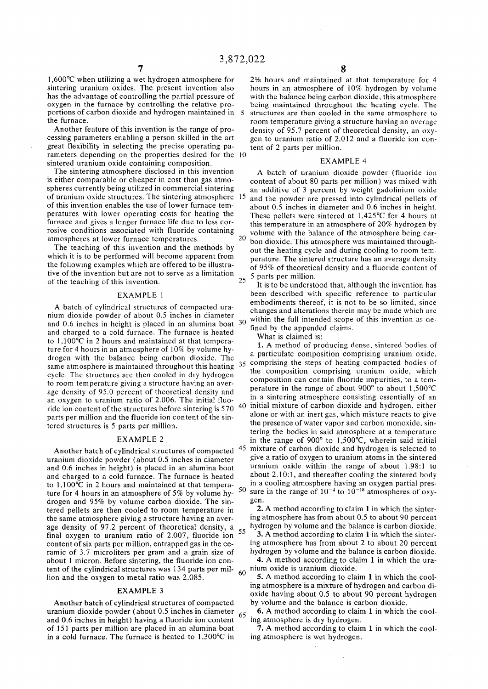sintering uranium oxides. The present invention also hours in an atmosphere of 10% hydrogen by volume<br>has the advantage of controlling the partial pressure of with the balance being carbon dioxide, this atmosphere has the advantage of controlling the partial pressure of with the balance being carbon dioxide, this atmosphere<br>oxygen in the furnace by controlling the relative pro-<br>being maintained throughout the heating cycle. The oxygen in the furnace by controlling the relative pro-<br>portions of carbon dioxide and hydrogen maintained in 5 structures are then cooled in the same atmosphere to portions of carbon dioxide and hydrogen maintained in 5 structures are then cooled in the same atmosphere to the<br>comprehentature giving a structure having an average

Another feature of this invention is the range of pro-<br>cessing parameters enabling a person skilled in the art are pen to uranium ratio of 2012 and a fluoride ion congreat flexibility in selecting the precise operating pa- tent of 2 parts per million, rameters depending on the properties desired for the 10 sintered uranium oxide containing composition.<br>The sintering atmosphere disclosed in this invention a hatch of uranium dioxide no

is either comparable or cheaper in cost than gas atmo-<br>spheres currently being utilized in commercial sintering an additive of 3 percent by weight gadolinium oxide of uranium oxide structures. The sintering atmosphere 15 of this invention enables the use of lower furnace temof this invention enables the use of lower furnace tem-<br>peratures with lower operating costs for heating the These pellets were sintered at 1.425°C for 4 hours at furnace and gives a longer furnace life due to less corrosive conditions associated with fluoride containing rosive conditions associated with fluoride containing volume with the balance of the atmosphere being car-<br>atmospheres at lower furnace temperatures.  $\frac{20}{2}$  bon dioxide. This atmosphere was maintained through-

the following examples which are offered to be illustrative of the invention but are not to serve as a limitation  $\frac{37}{25}$  5 parts per million. of the teaching of this invention.  $\frac{25}{\pi}$  function that, although the invention has

nium dioxide powder of about 0.5 inches in diameter and 0.6 inches in height is placed in an alumina boat  $3<sup>C</sup>$ and charged to a cold furnace. The furnace is heated **the substantial in the set of the substantial claims**. to  $1,100^{\circ}$ C in 2 hours and maintained at that tempera-<br>1. A method of proto 1,100°C in 2 hours and maintained at that tempera-<br>ture for 4 hours in an atmosphere of 10% by volume by-<br>ture for 4 hours in an atmosphere of 10% by volume byfor 4 hours in an atmosphere of  $10\%$  by vol ture for 4 hours in an atmosphere of 10% by volume hy-<br>drogen, with the balance, being carbon, dioxide. The sale particulate composition comprising uranium oxide same atmosphere is maintained throughout this heating  $35$ cycle. The structures are then cooled in dry hydrogen to room temperature giving a structure having an averan oxygen to uranium ratio of 2.006. The initial fluo-<br>ride ion content of the structures before sintering is 570  $^{40}$ ride ion content of the structures before sintering is 570 parts per million and the fluoride ion content of the sintered structures is 5 parts per million. the contract of the contract of the contract of the contract of the contract of the contract of the contract o

Another batch of cylindrical structures of compacted and 0.6 inches in height) is placed in an alumina boat and charged to a cold furnace. The furnace is heated to  $1,100^{\circ}\text{C}$  in 2 hours and maintained at that temperature for 4 hours in an atmosphere of  $5\%$  by volume hydrogen and 95% by volume carbon dioxide. The sin-<br>tered pellets are then cooled to room temperature in 2. A method according to claim 1 in which the sintertered pellets are then cooled to room temperature in  $\frac{2. A \text{ method according to claim 1 in which the sinter-}$ <br>the same atmosphere giving a structure having an aver-<br>ing atmosphere has from about 0.5 to about 90 percent the same atmosphere giving a structure having an aver-<br>age density of 97.2 percent of theoretical density,  $a_{11}$ , hydrogen by volume and the balance is carbon dioxide. age density of 97.2 percent of theoretical density, a final oxygen to uranium ratio of 2.007, fluoride ion  $3.3$  A method according to claim 1 in which the sinterramic of 3.7 microliters per gram and a grain size of about 1 micron. Before sintering, the fluoride ion con-<br>tent of the cylindrical structures was 134 parts per miltent of the cylindrical structures was 134 parts per mil- $60^{10}$  nium oxide is uranium dioxide.<br>Ion and the oxygen to metal ratio was 2.085.<br>S. A method according to claim 1 in which the coollion and the oxygen to metal ratio was 2.085.

Another batch of cylindrical structures of compacted by volume and the balance is carbon dioxide.<br>
ranium dioxide powder (about 0.5 inches in diameter  $\epsilon \epsilon$  6. A method according to claim 1 in which the cooluranium dioxide powder (about 0.5 inches in diameter  $65 \cdot 6$ . A method according to claim and 0.6 inches in height) having a fluoride ion content  $65 \cdot 100$  ing atmosphere is dry hydrogen. and 0.6 inches in height) having a fluoride ion content of 151 parts per million are placed in an alumina boat  $\qquad 7. A$  method according to claim 1 in which the coolin a cold furnace. The furnace is heated to  $1,300^{\circ}$ C in ing atmosphere is wet hydrogen.

1,600°C when utilizing a wet hydrogen atmosphere for 2½ hours and maintained at that temperature for 4 sintering uranium oxides. The present invention also hours in an atmosphere of 10% hydrogen by volume the furnace.<br>Another feature of this invention is the range of pro-<br>density of 95.7 percent of theoretical density, an oxygen to uranium ratio of 2.012 and a fluoride ion con-

The sintering atmosphere disclosed in this invention A batch of uranium dioxide powder (fluoride ion is either comparable or cheaper in cost than gas atmo-<br>content of about 80 parts per million) was mixed with an additive of 3 percent by weight gadolinium oxide and the powder are pressed into cylindrical pellets of These pellets were sintered at  $1,425^{\circ}$ C for 4 hours at this temperature in an atmosphere of 20% hydrogen by mospheres at lower furnace temperatures.<br>The teaching of this invention and the methods by any the heating evals and during cooling to room tem-The teaching of this invention and the methods by out the heating cycle and during cooling to room tem-<br>which it is to be performed will become apparent from a persture. The sintered structure has an average density perature. The sintered structure has an average density of  $95\%$  of theoretical density and a fluoride content of

EXAMPLE 1 been described with specific reference to particular A batch of cylindrical structures of compacted ura-<br>hanges and alterations therein may be made which are changes and alterations therein may be made which are within the full intended scope of this invention as defined by the appended claims.

drogen with the balance being carbon dioxide. The a particulate composition comprising uranium oxide, drogen with the balance being carbon dioxide. The comprising the steps of besting compated hodies of marising the stans of heating composted b the composition comprising uranium oxide, which composition can contain fluoride impurities, to a temage density of 95.0 percent of theoretical density and  $\frac{1}{2}$  per attachment in the range of about 900 to about 1,500 C  $e^{i\theta}$  or about 900 to about 1,500 G  $_1$  40 mitral inixture of carbon dioxide and hydrogen, either alone or with an inert gas, which mixture reacts to give the presence of water vapor and carbon monoxide, sintering the bodies in said atmosphere at a temperature EXAMPLE 2 in the range of 900 $\degree$  to 1,500 $\degree$ C, wherein said initial 45 mixture of carbon dioxide and hydrogen is selected to give a ratio of oxygen to uranium atoms in the sintered uranium dioxide powder (about 0.5 inches in diameter all ve a ratio of oxygen to uranium atoms in the sintered<br>and 0.6 inches in height) is placed in an alumina hoat a uranium oxide within the range of about 1.98:1 to  $\mu$  about 2.10:1, and thereafter cooling the sintered body in a cooling atmosphere having an oxygen partial pres-50 sure in the range of  $10^{-4}$  to  $10^{-18}$  atmospheres of oxy gen.

content of six parts per million, entrapped gas in the ce-<br>
ramic of 3.7 microliters per gram and a grain size of hydrogen by volume and the balance is carbon dioxide.

ing atmosphere is a mixture of hydrogen and carbon di-**EXAMPLE 3** oxide having about 0.5 to about 90 percent hydrogen